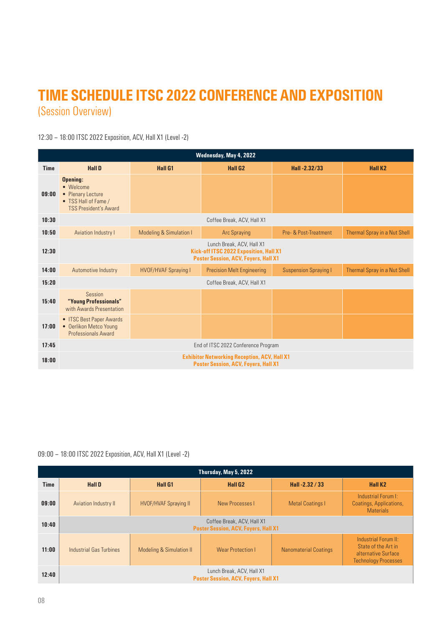## TIME SCHEDULE ITSC 2022 CONFERENCE AND EXPOSITION (Session Overview)

12:30 – 18:00 ITSC 2022 Exposition, ACV, Hall X1 (Level -2)

| Wednesday, May 4, 2022 |                                                                                                                           |                                    |                                   |                              |                              |  |
|------------------------|---------------------------------------------------------------------------------------------------------------------------|------------------------------------|-----------------------------------|------------------------------|------------------------------|--|
| <b>Time</b>            | <b>Hall D</b>                                                                                                             | <b>Hall G1</b>                     | <b>Hall G2</b>                    | Hall-2.32/33                 | <b>Hall K2</b>               |  |
| 09:00                  | Opening:<br>• Welcome<br>• Plenary Lecture<br>• TSS Hall of Fame /<br><b>TSS President's Award</b>                        |                                    |                                   |                              |                              |  |
| 10:30                  | Coffee Break, ACV, Hall X1                                                                                                |                                    |                                   |                              |                              |  |
| 10:50                  | <b>Aviation Industry I</b>                                                                                                | <b>Modeling &amp; Simulation I</b> | <b>Arc Spraying</b>               | Pre- & Post-Treatment        | Thermal Spray in a Nut Shell |  |
| 12:30                  | Lunch Break, ACV, Hall X1<br><b>Kick-off ITSC 2022 Exposition, Hall X1</b><br><b>Poster Session, ACV, Foyers, Hall X1</b> |                                    |                                   |                              |                              |  |
| 14:00                  | Automotive Industry                                                                                                       | <b>HVOF/HVAF Spraying I</b>        | <b>Precision Melt Engineering</b> | <b>Suspension Spraying I</b> | Thermal Spray in a Nut Shell |  |
| 15:20                  | Coffee Break, ACV, Hall X1                                                                                                |                                    |                                   |                              |                              |  |
| 15:40                  | Session<br>"Young Professionals"<br>with Awards Presentation                                                              |                                    |                                   |                              |                              |  |
| 17:00                  | • ITSC Best Paper Awards<br>• Oerlikon Metco Young<br><b>Professionals Award</b>                                          |                                    |                                   |                              |                              |  |
| 17:45                  | End of ITSC 2022 Conference Program                                                                                       |                                    |                                   |                              |                              |  |
| 18:00                  | <b>Exhibitor Networking Reception, ACV, Hall X1</b><br><b>Poster Session, ACV, Foyers, Hall X1</b>                        |                                    |                                   |                              |                              |  |

## 09:00 – 18:00 ITSC 2022 Exposition, ACV, Hall X1 (Level -2)

| Thursday, May 5, 2022 |                                                                           |                              |                          |                              |                                                                                                   |
|-----------------------|---------------------------------------------------------------------------|------------------------------|--------------------------|------------------------------|---------------------------------------------------------------------------------------------------|
| <b>Time</b>           | <b>Hall D</b>                                                             | <b>Hall G1</b>               | <b>Hall G2</b>           | Hall -2.32 / 33              | Hall K <sub>2</sub>                                                                               |
| 09:00                 | Aviation Industry II                                                      | <b>HVOF/HVAF Spraying II</b> | New Processes I          | <b>Metal Coatings I</b>      | Industrial Forum I:<br>Coatings, Applications,<br><b>Materials</b>                                |
| 10:40                 | Coffee Break, ACV, Hall X1<br><b>Poster Session, ACV, Foyers, Hall X1</b> |                              |                          |                              |                                                                                                   |
| 11:00                 | Industrial Gas Turbines                                                   | Modeling & Simulation II     | <b>Wear Protection I</b> | <b>Nanomaterial Coatings</b> | Industrial Forum II:<br>State of the Art in<br>alternative Surface<br><b>Technology Processes</b> |
| 12:40                 | Lunch Break, ACV, Hall X1<br><b>Poster Session, ACV, Foyers, Hall X1</b>  |                              |                          |                              |                                                                                                   |